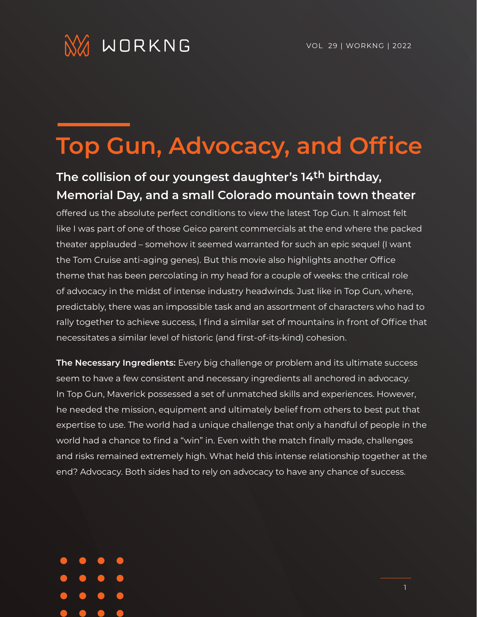

## **Top Gun, Advocacy, and Office**

## **The collision of our youngest daughter's 14th birthday, Memorial Day, and a small Colorado mountain town theater**

offered us the absolute perfect conditions to view the latest Top Gun. It almost felt like I was part of one of those Geico parent commercials at the end where the packed theater applauded – somehow it seemed warranted for such an epic sequel (I want the Tom Cruise anti-aging genes). But this movie also highlights another Office theme that has been percolating in my head for a couple of weeks: the critical role of advocacy in the midst of intense industry headwinds. Just like in Top Gun, where, predictably, there was an impossible task and an assortment of characters who had to rally together to achieve success, I find a similar set of mountains in front of Office that necessitates a similar level of historic (and first-of-its-kind) cohesion.

**The Necessary Ingredients:** Every big challenge or problem and its ultimate success seem to have a few consistent and necessary ingredients all anchored in advocacy. In Top Gun, Maverick possessed a set of unmatched skills and experiences. However, he needed the mission, equipment and ultimately belief from others to best put that expertise to use. The world had a unique challenge that only a handful of people in the world had a chance to find a "win" in. Even with the match finally made, challenges and risks remained extremely high. What held this intense relationship together at the end? Advocacy. Both sides had to rely on advocacy to have any chance of success.

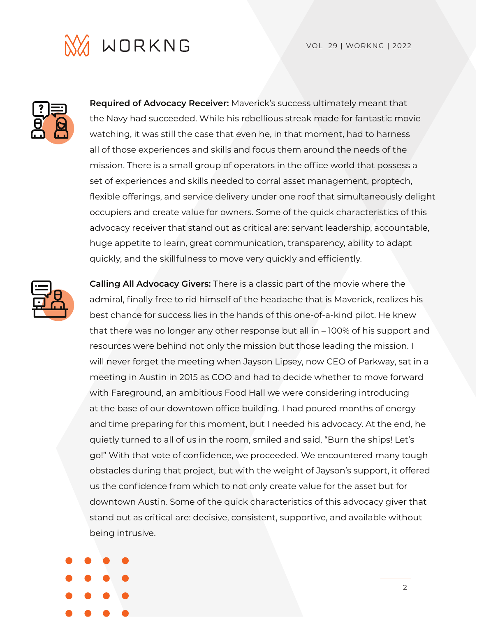



**Required of Advocacy Receiver:** Maverick's success ultimately meant that the Navy had succeeded. While his rebellious streak made for fantastic movie watching, it was still the case that even he, in that moment, had to harness all of those experiences and skills and focus them around the needs of the mission. There is a small group of operators in the office world that possess a set of experiences and skills needed to corral asset management, proptech, flexible offerings, and service delivery under one roof that simultaneously delight occupiers and create value for owners. Some of the quick characteristics of this advocacy receiver that stand out as critical are: servant leadership, accountable, huge appetite to learn, great communication, transparency, ability to adapt quickly, and the skillfulness to move very quickly and efficiently.



**Calling All Advocacy Givers:** There is a classic part of the movie where the admiral, finally free to rid himself of the headache that is Maverick, realizes his best chance for success lies in the hands of this one-of-a-kind pilot. He knew that there was no longer any other response but all in – 100% of his support and resources were behind not only the mission but those leading the mission. I will never forget the meeting when Jayson Lipsey, now CEO of Parkway, sat in a meeting in Austin in 2015 as COO and had to decide whether to move forward with Fareground, an ambitious Food Hall we were considering introducing at the base of our downtown office building. I had poured months of energy and time preparing for this moment, but I needed his advocacy. At the end, he quietly turned to all of us in the room, smiled and said, "Burn the ships! Let's go!" With that vote of confidence, we proceeded. We encountered many tough obstacles during that project, but with the weight of Jayson's support, it offered us the confidence from which to not only create value for the asset but for downtown Austin. Some of the quick characteristics of this advocacy giver that stand out as critical are: decisive, consistent, supportive, and available without being intrusive.



2